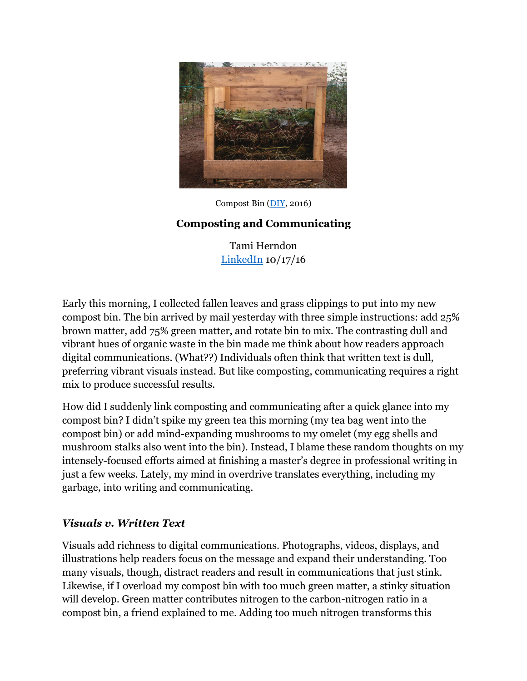

Compost Bin (DIY, 2016)

## **Composting and Communicating**

Tami Herndon LinkedIn 10/17/16

Early this morning, I collected fallen leaves and grass clippings to put into my new compost bin. The bin arrived by mail yesterday with three simple instructions: add 25% brown matter, add 75% green matter, and rotate bin to mix. The contrasting dull and vibrant hues of organic waste in the bin made me think about how readers approach digital communications. (What??) Individuals often think that written text is dull, preferring vibrant visuals instead. But like composting, communicating requires a right mix to produce successful results.

How did I suddenly link composting and communicating after a quick glance into my compost bin? I didn't spike my green tea this morning (my tea bag went into the compost bin) or add mind-expanding mushrooms to my omelet (my egg shells and mushroom stalks also went into the bin). Instead, I blame these random thoughts on my intensely-focused efforts aimed at finishing a master's degree in professional writing in just a few weeks. Lately, my mind in overdrive translates everything, including my garbage, into writing and communicating.

## *Visuals v. Written Text*

Visuals add richness to digital communications. Photographs, videos, displays, and illustrations help readers focus on the message and expand their understanding. Too many visuals, though, distract readers and result in communications that just stink. Likewise, if I overload my compost bin with too much green matter, a stinky situation will develop. Green matter contributes nitrogen to the carbon-nitrogen ratio in a compost bin, a friend explained to me. Adding too much nitrogen transforms this